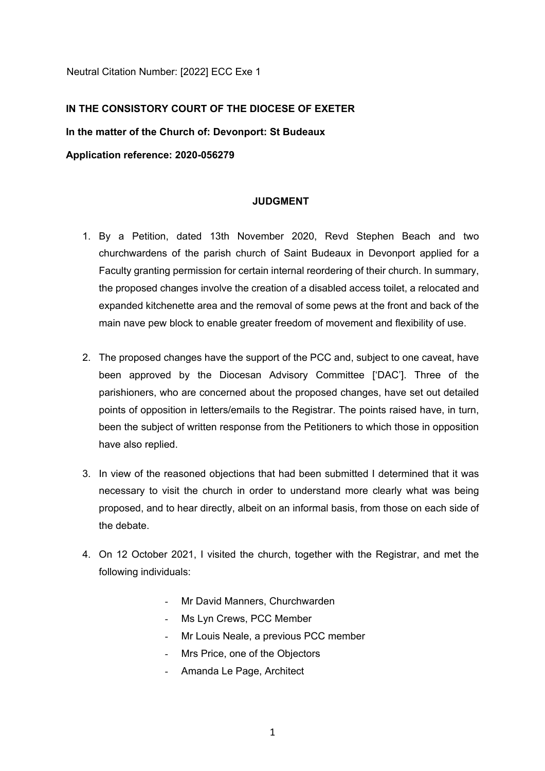Neutral Citation Number: [2022] ECC Exe 1

# **IN THE CONSISTORY COURT OF THE DIOCESE OF EXETER**

**In the matter of the Church of: Devonport: St Budeaux** 

**Application reference: 2020-056279**

# **JUDGMENT**

- 1. By a Petition, dated 13th November 2020, Revd Stephen Beach and two churchwardens of the parish church of Saint Budeaux in Devonport applied for a Faculty granting permission for certain internal reordering of their church. In summary, the proposed changes involve the creation of a disabled access toilet, a relocated and expanded kitchenette area and the removal of some pews at the front and back of the main nave pew block to enable greater freedom of movement and flexibility of use.
- 2. The proposed changes have the support of the PCC and, subject to one caveat, have been approved by the Diocesan Advisory Committee ['DAC']. Three of the parishioners, who are concerned about the proposed changes, have set out detailed points of opposition in letters/emails to the Registrar. The points raised have, in turn, been the subject of written response from the Petitioners to which those in opposition have also replied.
- 3. In view of the reasoned objections that had been submitted I determined that it was necessary to visit the church in order to understand more clearly what was being proposed, and to hear directly, albeit on an informal basis, from those on each side of the debate.
- 4. On 12 October 2021, I visited the church, together with the Registrar, and met the following individuals:
	- Mr David Manners, Churchwarden
	- Ms Lyn Crews, PCC Member
	- Mr Louis Neale, a previous PCC member
	- Mrs Price, one of the Objectors
	- Amanda Le Page, Architect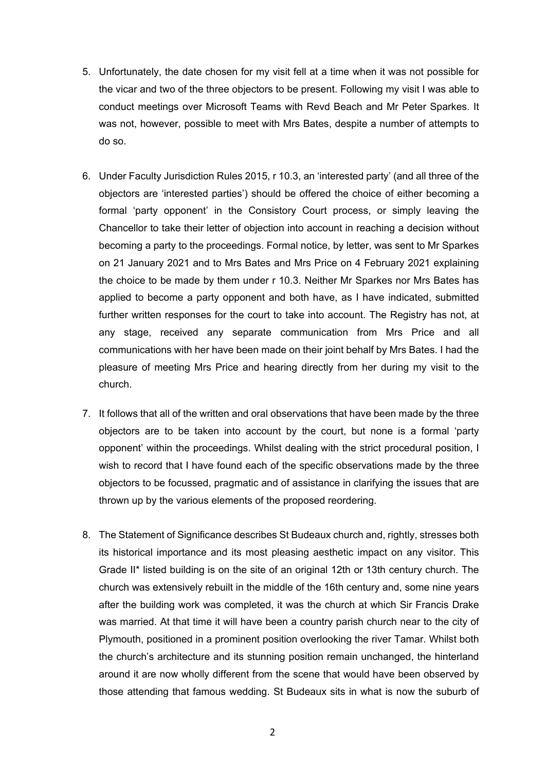- 5. Unfortunately, the date chosen for my visit fell at a time when it was not possible for the vicar and two of the three objectors to be present. Following my visit I was able to conduct meetings over Microsoft Teams with Revd Beach and Mr Peter Sparkes. It was not, however, possible to meet with Mrs Bates, despite a number of attempts to do so.
- 6. Under Faculty Jurisdiction Rules 2015, r 10.3, an 'interested party' (and all three of the objectors are 'interested parties') should be offered the choice of either becoming a formal 'party opponent' in the Consistory Court process, or simply leaving the Chancellor to take their letter of objection into account in reaching a decision without becoming a party to the proceedings. Formal notice, by letter, was sent to Mr Sparkes on 21 January 2021 and to Mrs Bates and Mrs Price on 4 February 2021 explaining the choice to be made by them under r 10.3. Neither Mr Sparkes nor Mrs Bates has applied to become a party opponent and both have, as I have indicated, submitted further written responses for the court to take into account. The Registry has not, at any stage, received any separate communication from Mrs Price and all communications with her have been made on their joint behalf by Mrs Bates. I had the pleasure of meeting Mrs Price and hearing directly from her during my visit to the church.
- 7. It follows that all of the written and oral observations that have been made by the three objectors are to be taken into account by the court, but none is a formal 'party opponent' within the proceedings. Whilst dealing with the strict procedural position, I wish to record that I have found each of the specific observations made by the three objectors to be focussed, pragmatic and of assistance in clarifying the issues that are thrown up by the various elements of the proposed reordering.
- 8. The Statement of Significance describes St Budeaux church and, rightly, stresses both its historical importance and its most pleasing aesthetic impact on any visitor. This Grade II\* listed building is on the site of an original 12th or 13th century church. The church was extensively rebuilt in the middle of the 16th century and, some nine years after the building work was completed, it was the church at which Sir Francis Drake was married. At that time it will have been a country parish church near to the city of Plymouth, positioned in a prominent position overlooking the river Tamar. Whilst both the church's architecture and its stunning position remain unchanged, the hinterland around it are now wholly different from the scene that would have been observed by those attending that famous wedding. St Budeaux sits in what is now the suburb of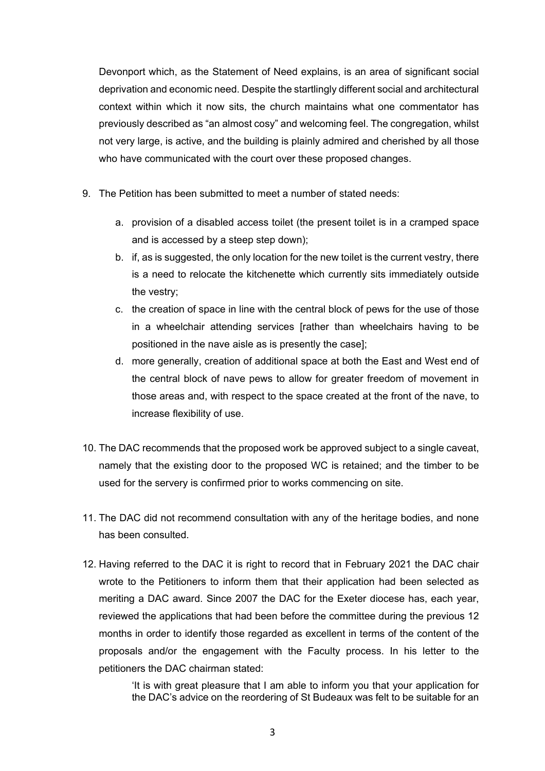Devonport which, as the Statement of Need explains, is an area of significant social deprivation and economic need. Despite the startlingly different social and architectural context within which it now sits, the church maintains what one commentator has previously described as "an almost cosy" and welcoming feel. The congregation, whilst not very large, is active, and the building is plainly admired and cherished by all those who have communicated with the court over these proposed changes.

- 9. The Petition has been submitted to meet a number of stated needs:
	- a. provision of a disabled access toilet (the present toilet is in a cramped space and is accessed by a steep step down);
	- b. if, as is suggested, the only location for the new toilet is the current vestry, there is a need to relocate the kitchenette which currently sits immediately outside the vestry;
	- c. the creation of space in line with the central block of pews for the use of those in a wheelchair attending services [rather than wheelchairs having to be positioned in the nave aisle as is presently the case];
	- d. more generally, creation of additional space at both the East and West end of the central block of nave pews to allow for greater freedom of movement in those areas and, with respect to the space created at the front of the nave, to increase flexibility of use.
- 10. The DAC recommends that the proposed work be approved subject to a single caveat, namely that the existing door to the proposed WC is retained; and the timber to be used for the servery is confirmed prior to works commencing on site.
- 11. The DAC did not recommend consultation with any of the heritage bodies, and none has been consulted.
- 12. Having referred to the DAC it is right to record that in February 2021 the DAC chair wrote to the Petitioners to inform them that their application had been selected as meriting a DAC award. Since 2007 the DAC for the Exeter diocese has, each year, reviewed the applications that had been before the committee during the previous 12 months in order to identify those regarded as excellent in terms of the content of the proposals and/or the engagement with the Faculty process. In his letter to the petitioners the DAC chairman stated:

'It is with great pleasure that I am able to inform you that your application for the DAC's advice on the reordering of St Budeaux was felt to be suitable for an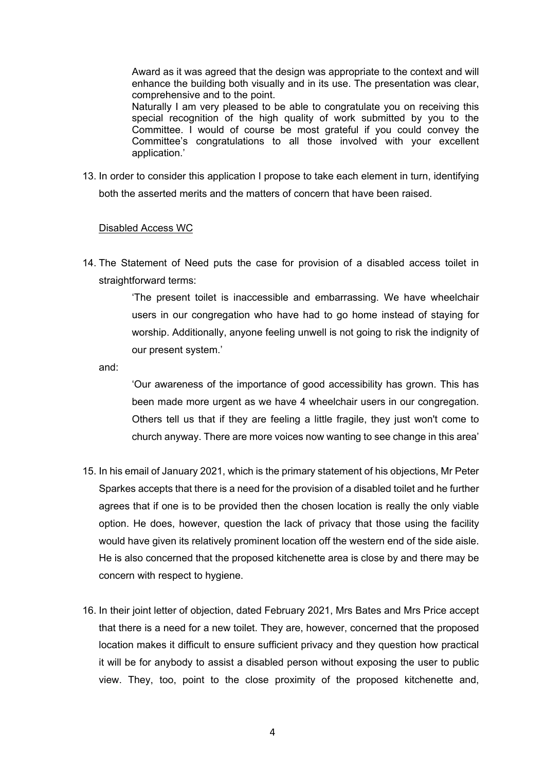Award as it was agreed that the design was appropriate to the context and will enhance the building both visually and in its use. The presentation was clear, comprehensive and to the point.

Naturally I am very pleased to be able to congratulate you on receiving this special recognition of the high quality of work submitted by you to the Committee. I would of course be most grateful if you could convey the Committee's congratulations to all those involved with your excellent application.'

13. In order to consider this application I propose to take each element in turn, identifying both the asserted merits and the matters of concern that have been raised.

## Disabled Access WC

14. The Statement of Need puts the case for provision of a disabled access toilet in straightforward terms:

> 'The present toilet is inaccessible and embarrassing. We have wheelchair users in our congregation who have had to go home instead of staying for worship. Additionally, anyone feeling unwell is not going to risk the indignity of our present system.'

and:

'Our awareness of the importance of good accessibility has grown. This has been made more urgent as we have 4 wheelchair users in our congregation. Others tell us that if they are feeling a little fragile, they just won't come to church anyway. There are more voices now wanting to see change in this area'

- 15. In his email of January 2021, which is the primary statement of his objections, Mr Peter Sparkes accepts that there is a need for the provision of a disabled toilet and he further agrees that if one is to be provided then the chosen location is really the only viable option. He does, however, question the lack of privacy that those using the facility would have given its relatively prominent location off the western end of the side aisle. He is also concerned that the proposed kitchenette area is close by and there may be concern with respect to hygiene.
- 16. In their joint letter of objection, dated February 2021, Mrs Bates and Mrs Price accept that there is a need for a new toilet. They are, however, concerned that the proposed location makes it difficult to ensure sufficient privacy and they question how practical it will be for anybody to assist a disabled person without exposing the user to public view. They, too, point to the close proximity of the proposed kitchenette and,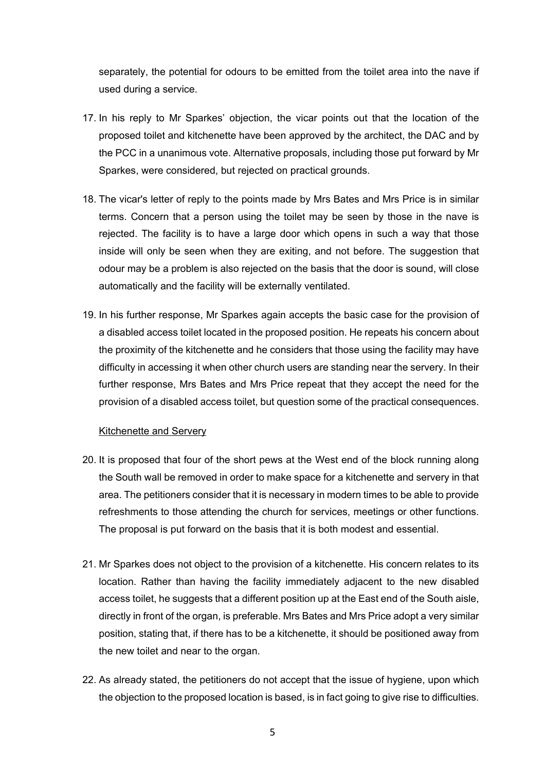separately, the potential for odours to be emitted from the toilet area into the nave if used during a service.

- 17. In his reply to Mr Sparkes' objection, the vicar points out that the location of the proposed toilet and kitchenette have been approved by the architect, the DAC and by the PCC in a unanimous vote. Alternative proposals, including those put forward by Mr Sparkes, were considered, but rejected on practical grounds.
- 18. The vicar's letter of reply to the points made by Mrs Bates and Mrs Price is in similar terms. Concern that a person using the toilet may be seen by those in the nave is rejected. The facility is to have a large door which opens in such a way that those inside will only be seen when they are exiting, and not before. The suggestion that odour may be a problem is also rejected on the basis that the door is sound, will close automatically and the facility will be externally ventilated.
- 19. In his further response, Mr Sparkes again accepts the basic case for the provision of a disabled access toilet located in the proposed position. He repeats his concern about the proximity of the kitchenette and he considers that those using the facility may have difficulty in accessing it when other church users are standing near the servery. In their further response, Mrs Bates and Mrs Price repeat that they accept the need for the provision of a disabled access toilet, but question some of the practical consequences.

#### Kitchenette and Servery

- 20. It is proposed that four of the short pews at the West end of the block running along the South wall be removed in order to make space for a kitchenette and servery in that area. The petitioners consider that it is necessary in modern times to be able to provide refreshments to those attending the church for services, meetings or other functions. The proposal is put forward on the basis that it is both modest and essential.
- 21. Mr Sparkes does not object to the provision of a kitchenette. His concern relates to its location. Rather than having the facility immediately adjacent to the new disabled access toilet, he suggests that a different position up at the East end of the South aisle, directly in front of the organ, is preferable. Mrs Bates and Mrs Price adopt a very similar position, stating that, if there has to be a kitchenette, it should be positioned away from the new toilet and near to the organ.
- 22. As already stated, the petitioners do not accept that the issue of hygiene, upon which the objection to the proposed location is based, is in fact going to give rise to difficulties.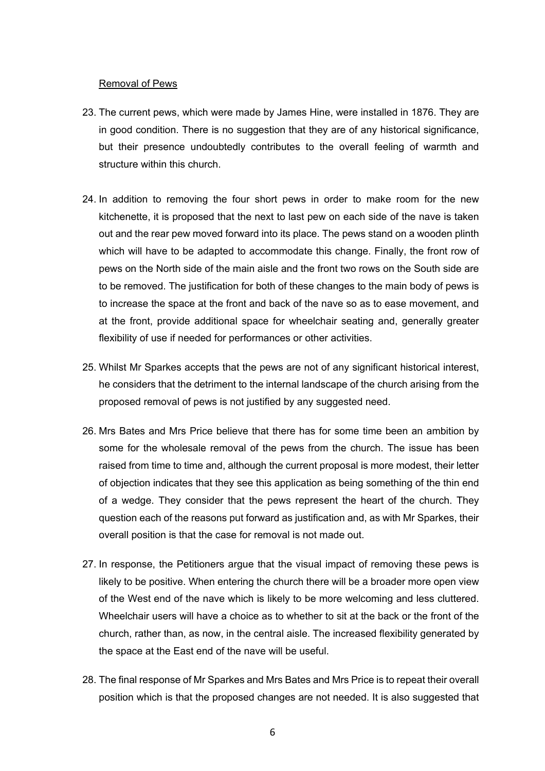#### Removal of Pews

- 23. The current pews, which were made by James Hine, were installed in 1876. They are in good condition. There is no suggestion that they are of any historical significance, but their presence undoubtedly contributes to the overall feeling of warmth and structure within this church.
- 24. In addition to removing the four short pews in order to make room for the new kitchenette, it is proposed that the next to last pew on each side of the nave is taken out and the rear pew moved forward into its place. The pews stand on a wooden plinth which will have to be adapted to accommodate this change. Finally, the front row of pews on the North side of the main aisle and the front two rows on the South side are to be removed. The justification for both of these changes to the main body of pews is to increase the space at the front and back of the nave so as to ease movement, and at the front, provide additional space for wheelchair seating and, generally greater flexibility of use if needed for performances or other activities.
- 25. Whilst Mr Sparkes accepts that the pews are not of any significant historical interest, he considers that the detriment to the internal landscape of the church arising from the proposed removal of pews is not justified by any suggested need.
- 26. Mrs Bates and Mrs Price believe that there has for some time been an ambition by some for the wholesale removal of the pews from the church. The issue has been raised from time to time and, although the current proposal is more modest, their letter of objection indicates that they see this application as being something of the thin end of a wedge. They consider that the pews represent the heart of the church. They question each of the reasons put forward as justification and, as with Mr Sparkes, their overall position is that the case for removal is not made out.
- 27. In response, the Petitioners argue that the visual impact of removing these pews is likely to be positive. When entering the church there will be a broader more open view of the West end of the nave which is likely to be more welcoming and less cluttered. Wheelchair users will have a choice as to whether to sit at the back or the front of the church, rather than, as now, in the central aisle. The increased flexibility generated by the space at the East end of the nave will be useful.
- 28. The final response of Mr Sparkes and Mrs Bates and Mrs Price is to repeat their overall position which is that the proposed changes are not needed. It is also suggested that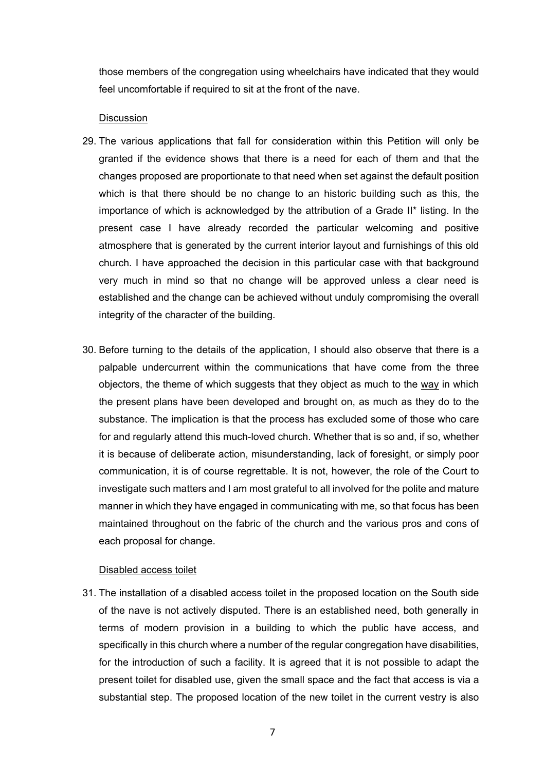those members of the congregation using wheelchairs have indicated that they would feel uncomfortable if required to sit at the front of the nave.

## **Discussion**

- 29. The various applications that fall for consideration within this Petition will only be granted if the evidence shows that there is a need for each of them and that the changes proposed are proportionate to that need when set against the default position which is that there should be no change to an historic building such as this, the importance of which is acknowledged by the attribution of a Grade II\* listing. In the present case I have already recorded the particular welcoming and positive atmosphere that is generated by the current interior layout and furnishings of this old church. I have approached the decision in this particular case with that background very much in mind so that no change will be approved unless a clear need is established and the change can be achieved without unduly compromising the overall integrity of the character of the building.
- 30. Before turning to the details of the application, I should also observe that there is a palpable undercurrent within the communications that have come from the three objectors, the theme of which suggests that they object as much to the way in which the present plans have been developed and brought on, as much as they do to the substance. The implication is that the process has excluded some of those who care for and regularly attend this much-loved church. Whether that is so and, if so, whether it is because of deliberate action, misunderstanding, lack of foresight, or simply poor communication, it is of course regrettable. It is not, however, the role of the Court to investigate such matters and I am most grateful to all involved for the polite and mature manner in which they have engaged in communicating with me, so that focus has been maintained throughout on the fabric of the church and the various pros and cons of each proposal for change.

#### Disabled access toilet

31. The installation of a disabled access toilet in the proposed location on the South side of the nave is not actively disputed. There is an established need, both generally in terms of modern provision in a building to which the public have access, and specifically in this church where a number of the regular congregation have disabilities, for the introduction of such a facility. It is agreed that it is not possible to adapt the present toilet for disabled use, given the small space and the fact that access is via a substantial step. The proposed location of the new toilet in the current vestry is also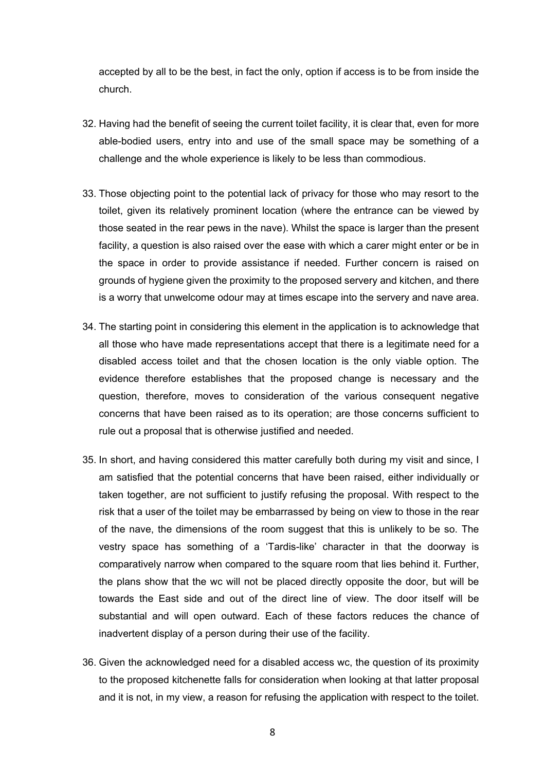accepted by all to be the best, in fact the only, option if access is to be from inside the church.

- 32. Having had the benefit of seeing the current toilet facility, it is clear that, even for more able-bodied users, entry into and use of the small space may be something of a challenge and the whole experience is likely to be less than commodious.
- 33. Those objecting point to the potential lack of privacy for those who may resort to the toilet, given its relatively prominent location (where the entrance can be viewed by those seated in the rear pews in the nave). Whilst the space is larger than the present facility, a question is also raised over the ease with which a carer might enter or be in the space in order to provide assistance if needed. Further concern is raised on grounds of hygiene given the proximity to the proposed servery and kitchen, and there is a worry that unwelcome odour may at times escape into the servery and nave area.
- 34. The starting point in considering this element in the application is to acknowledge that all those who have made representations accept that there is a legitimate need for a disabled access toilet and that the chosen location is the only viable option. The evidence therefore establishes that the proposed change is necessary and the question, therefore, moves to consideration of the various consequent negative concerns that have been raised as to its operation; are those concerns sufficient to rule out a proposal that is otherwise justified and needed.
- 35. In short, and having considered this matter carefully both during my visit and since, I am satisfied that the potential concerns that have been raised, either individually or taken together, are not sufficient to justify refusing the proposal. With respect to the risk that a user of the toilet may be embarrassed by being on view to those in the rear of the nave, the dimensions of the room suggest that this is unlikely to be so. The vestry space has something of a 'Tardis-like' character in that the doorway is comparatively narrow when compared to the square room that lies behind it. Further, the plans show that the wc will not be placed directly opposite the door, but will be towards the East side and out of the direct line of view. The door itself will be substantial and will open outward. Each of these factors reduces the chance of inadvertent display of a person during their use of the facility.
- 36. Given the acknowledged need for a disabled access wc, the question of its proximity to the proposed kitchenette falls for consideration when looking at that latter proposal and it is not, in my view, a reason for refusing the application with respect to the toilet.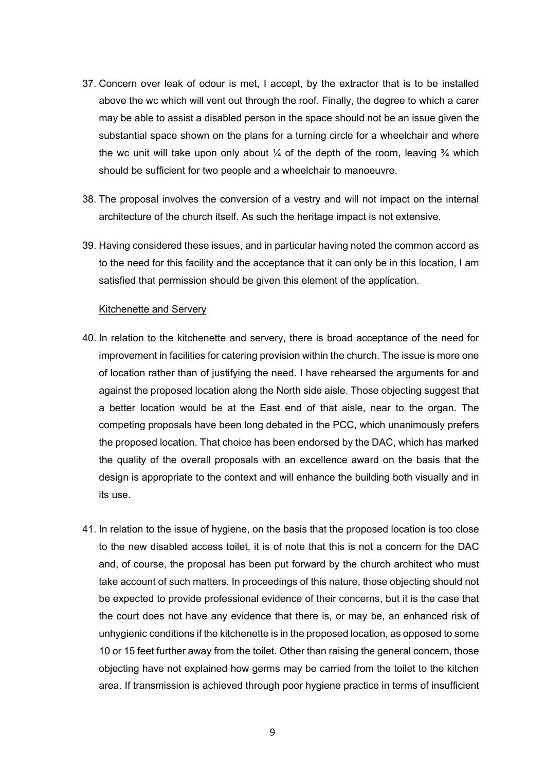- 37. Concern over leak of odour is met, I accept, by the extractor that is to be installed above the wc which will vent out through the roof. Finally, the degree to which a carer may be able to assist a disabled person in the space should not be an issue given the substantial space shown on the plans for a turning circle for a wheelchair and where the wc unit will take upon only about  $\frac{1}{4}$  of the depth of the room, leaving  $\frac{3}{4}$  which should be sufficient for two people and a wheelchair to manoeuvre.
- 38. The proposal involves the conversion of a vestry and will not impact on the internal architecture of the church itself. As such the heritage impact is not extensive.
- 39. Having considered these issues, and in particular having noted the common accord as to the need for this facility and the acceptance that it can only be in this location, I am satisfied that permission should be given this element of the application.

## Kitchenette and Servery

- 40. In relation to the kitchenette and servery, there is broad acceptance of the need for improvement in facilities for catering provision within the church. The issue is more one of location rather than of justifying the need. I have rehearsed the arguments for and against the proposed location along the North side aisle. Those objecting suggest that a better location would be at the East end of that aisle, near to the organ. The competing proposals have been long debated in the PCC, which unanimously prefers the proposed location. That choice has been endorsed by the DAC, which has marked the quality of the overall proposals with an excellence award on the basis that the design is appropriate to the context and will enhance the building both visually and in its use.
- 41. In relation to the issue of hygiene, on the basis that the proposed location is too close to the new disabled access toilet, it is of note that this is not a concern for the DAC and, of course, the proposal has been put forward by the church architect who must take account of such matters. In proceedings of this nature, those objecting should not be expected to provide professional evidence of their concerns, but it is the case that the court does not have any evidence that there is, or may be, an enhanced risk of unhygienic conditions if the kitchenette is in the proposed location, as opposed to some 10 or 15 feet further away from the toilet. Other than raising the general concern, those objecting have not explained how germs may be carried from the toilet to the kitchen area. If transmission is achieved through poor hygiene practice in terms of insufficient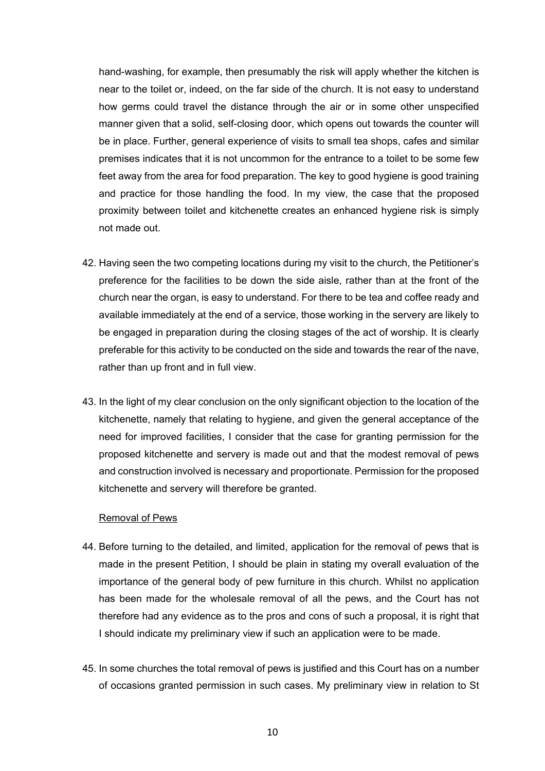hand-washing, for example, then presumably the risk will apply whether the kitchen is near to the toilet or, indeed, on the far side of the church. It is not easy to understand how germs could travel the distance through the air or in some other unspecified manner given that a solid, self-closing door, which opens out towards the counter will be in place. Further, general experience of visits to small tea shops, cafes and similar premises indicates that it is not uncommon for the entrance to a toilet to be some few feet away from the area for food preparation. The key to good hygiene is good training and practice for those handling the food. In my view, the case that the proposed proximity between toilet and kitchenette creates an enhanced hygiene risk is simply not made out.

- 42. Having seen the two competing locations during my visit to the church, the Petitioner's preference for the facilities to be down the side aisle, rather than at the front of the church near the organ, is easy to understand. For there to be tea and coffee ready and available immediately at the end of a service, those working in the servery are likely to be engaged in preparation during the closing stages of the act of worship. It is clearly preferable for this activity to be conducted on the side and towards the rear of the nave, rather than up front and in full view.
- 43. In the light of my clear conclusion on the only significant objection to the location of the kitchenette, namely that relating to hygiene, and given the general acceptance of the need for improved facilities, I consider that the case for granting permission for the proposed kitchenette and servery is made out and that the modest removal of pews and construction involved is necessary and proportionate. Permission for the proposed kitchenette and servery will therefore be granted.

#### Removal of Pews

- 44. Before turning to the detailed, and limited, application for the removal of pews that is made in the present Petition, I should be plain in stating my overall evaluation of the importance of the general body of pew furniture in this church. Whilst no application has been made for the wholesale removal of all the pews, and the Court has not therefore had any evidence as to the pros and cons of such a proposal, it is right that I should indicate my preliminary view if such an application were to be made.
- 45. In some churches the total removal of pews is justified and this Court has on a number of occasions granted permission in such cases. My preliminary view in relation to St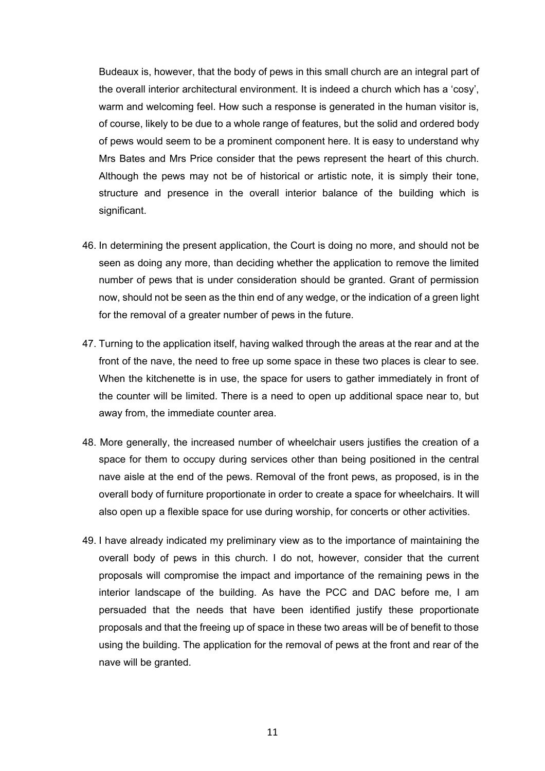Budeaux is, however, that the body of pews in this small church are an integral part of the overall interior architectural environment. It is indeed a church which has a 'cosy', warm and welcoming feel. How such a response is generated in the human visitor is, of course, likely to be due to a whole range of features, but the solid and ordered body of pews would seem to be a prominent component here. It is easy to understand why Mrs Bates and Mrs Price consider that the pews represent the heart of this church. Although the pews may not be of historical or artistic note, it is simply their tone, structure and presence in the overall interior balance of the building which is significant.

- 46. In determining the present application, the Court is doing no more, and should not be seen as doing any more, than deciding whether the application to remove the limited number of pews that is under consideration should be granted. Grant of permission now, should not be seen as the thin end of any wedge, or the indication of a green light for the removal of a greater number of pews in the future.
- 47. Turning to the application itself, having walked through the areas at the rear and at the front of the nave, the need to free up some space in these two places is clear to see. When the kitchenette is in use, the space for users to gather immediately in front of the counter will be limited. There is a need to open up additional space near to, but away from, the immediate counter area.
- 48. More generally, the increased number of wheelchair users justifies the creation of a space for them to occupy during services other than being positioned in the central nave aisle at the end of the pews. Removal of the front pews, as proposed, is in the overall body of furniture proportionate in order to create a space for wheelchairs. It will also open up a flexible space for use during worship, for concerts or other activities.
- 49. I have already indicated my preliminary view as to the importance of maintaining the overall body of pews in this church. I do not, however, consider that the current proposals will compromise the impact and importance of the remaining pews in the interior landscape of the building. As have the PCC and DAC before me, I am persuaded that the needs that have been identified justify these proportionate proposals and that the freeing up of space in these two areas will be of benefit to those using the building. The application for the removal of pews at the front and rear of the nave will be granted.